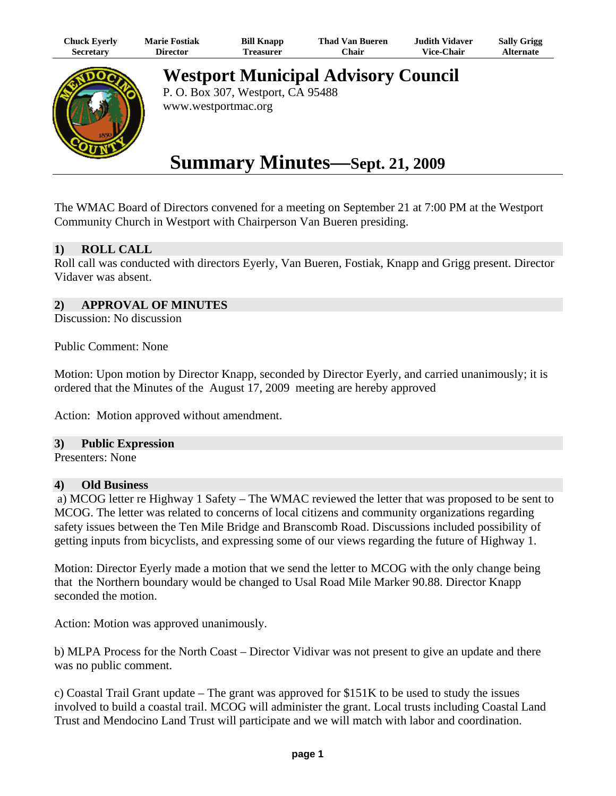| Chuck Eyerly | <b>Marie Fostiak</b> | <b>Bill Knapp</b> | <b>Thad Van Bueren</b> | <b>Judith Vidaver</b> | <b>Sally Grigg</b> |
|--------------|----------------------|-------------------|------------------------|-----------------------|--------------------|
| Secretary    | Director             | reasurer)         | <b>Chair</b>           | <b>Vice-Chair</b>     | Alternate          |



**Westport Municipal Advisory Council** 

P. O. Box 307, Westport, CA 95488 www.westportmac.org

# **Summary Minutes—Sept. 21, 2009**

The WMAC Board of Directors convened for a meeting on September 21 at 7:00 PM at the Westport Community Church in Westport with Chairperson Van Bueren presiding.

# **1) ROLL CALL**

Roll call was conducted with directors Eyerly, Van Bueren, Fostiak, Knapp and Grigg present. Director Vidaver was absent.

### **2) APPROVAL OF MINUTES**

Discussion: No discussion

Public Comment: None

Motion: Upon motion by Director Knapp, seconded by Director Eyerly, and carried unanimously; it is ordered that the Minutes of the August 17, 2009 meeting are hereby approved

Action: Motion approved without amendment.

#### **3) Public Expression**

Presenters: None

#### **4) Old Business**

 a) MCOG letter re Highway 1 Safety – The WMAC reviewed the letter that was proposed to be sent to MCOG. The letter was related to concerns of local citizens and community organizations regarding safety issues between the Ten Mile Bridge and Branscomb Road. Discussions included possibility of getting inputs from bicyclists, and expressing some of our views regarding the future of Highway 1.

Motion: Director Eyerly made a motion that we send the letter to MCOG with the only change being that the Northern boundary would be changed to Usal Road Mile Marker 90.88. Director Knapp seconded the motion.

Action: Motion was approved unanimously.

b) MLPA Process for the North Coast – Director Vidivar was not present to give an update and there was no public comment.

c) Coastal Trail Grant update – The grant was approved for  $$151K$  to be used to study the issues involved to build a coastal trail. MCOG will administer the grant. Local trusts including Coastal Land Trust and Mendocino Land Trust will participate and we will match with labor and coordination.